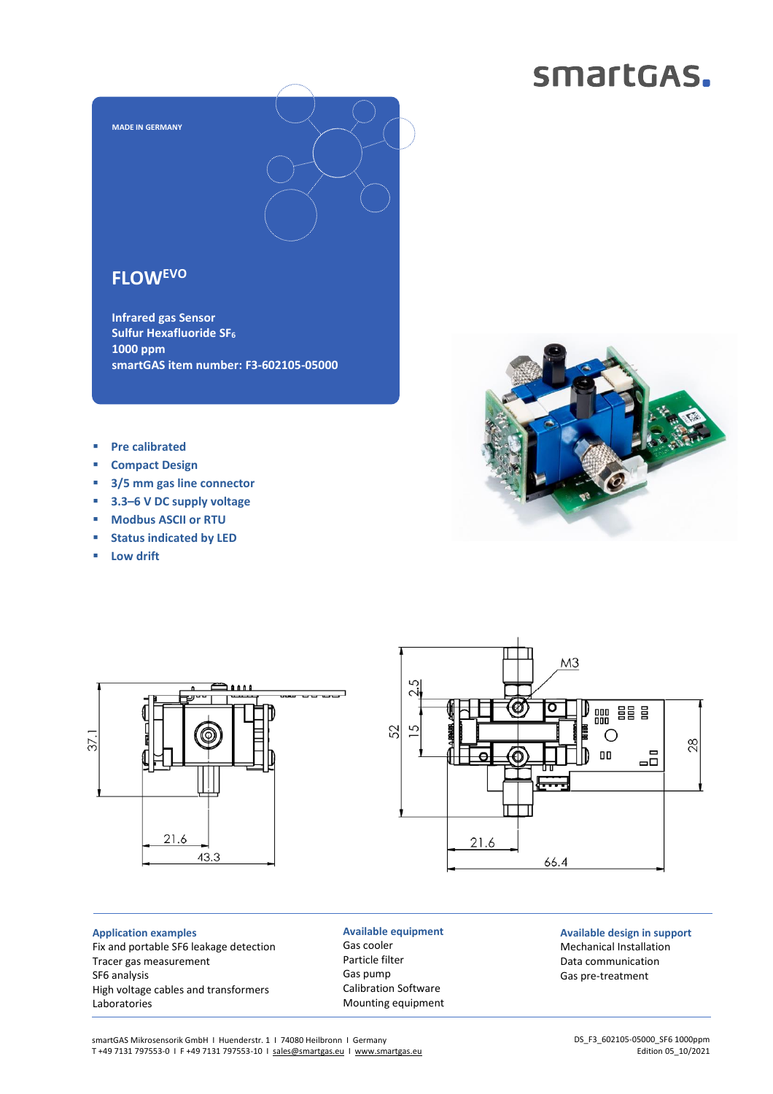# smartGAS.



### **FLOWEVO**

**Infrared gas Sensor Sulfur Hexafluoride SF<sup>6</sup> 1000 ppm smartGAS item number: F3-602105-05000**

- **Pre calibrated**
- **Compact Design**
- **3/5 mm gas line connector**
- **3.3–6 V DC supply voltage**
- **Modbus ASCII or RTU**
- **Status indicated by LED**
- **Low drift**

 $37.1$ 





**Available equipment** Gas cooler Particle filter Gas pump Calibration Software Mounting equipment

### M<sub>3</sub> Ø 圏圏 O 28 ℩ 00 品 Æ

21.6 66.4

> **Available design in support** Mechanical Installation Data communication Gas pre-treatment

smartGAS Mikrosensorik GmbH | Huenderstr. 1 | 74080 Heilbronn | Germany T +49 7131 797553-0 I F +49 7131 797553-10 I [sales@smartgas.eu](mailto:sales@smartgas.eu) I [www.smartgas.eu](http://www.smartgas.eu/)